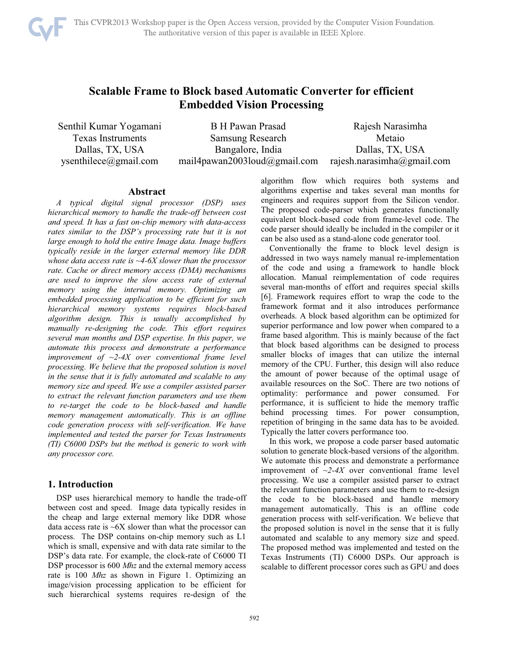

# **Scalable Frame to Block based Automatic Converter for efficient Embedded Vision Processing**

Senthil Kumar Yogamani Texas Instruments Dallas, TX, USA ysenthilece@gmail.com

B H Pawan Prasad Samsung Research Bangalore, India mail4pawan2003loud@gmail.com Rajesh Narasimha Metaio Dallas, TX, USA rajesh.narasimha@gmail.com

#### **Abstract**

*A typical digital signal processor (DSP) uses hierarchical memory to handle the trade-off between cost and speed. It has a fast on-chip memory with data-access rates similar to the DSP's processing rate but it is not large enough to hold the entire Image data. Image buffers typically reside in the larger external memory like DDR whose data access rate is ~4-6X slower than the processor rate. Cache or direct memory access (DMA) mechanisms are used to improve the slow access rate of external memory using the internal memory. Optimizing an embedded processing application to be efficient for such hierarchical memory systems requires block-based algorithm design. This is usually accomplished by manually re-designing the code. This effort requires several man months and DSP expertise. In this paper, we automate this process and demonstrate a performance improvement of ~2-4X over conventional frame level processing. We believe that the proposed solution is novel in the sense that it is fully automated and scalable to any memory size and speed. We use a compiler assisted parser to extract the relevant function parameters and use them to re-target the code to be block-based and handle memory management automatically. This is an offline code generation process with self-verification. We have implemented and tested the parser for Texas Instruments (TI) C6000 DSPs but the method is generic to work with any processor core.* 

# **1. Introduction**

DSP uses hierarchical memory to handle the trade-off between cost and speed. Image data typically resides in the cheap and large external memory like DDR whose data access rate is  $\sim$  6X slower than what the processor can process. The DSP contains on-chip memory such as L1 which is small, expensive and with data rate similar to the DSP's data rate. For example, the clock-rate of C6000 TI DSP processor is 600 *Mhz* and the external memory access rate is 100 *Mhz* as shown in Figure 1. Optimizing an image/vision processing application to be efficient for such hierarchical systems requires re-design of the algorithm flow which requires both systems and algorithms expertise and takes several man months for engineers and requires support from the Silicon vendor. The proposed code-parser which generates functionally equivalent block-based code from frame-level code. The code parser should ideally be included in the compiler or it can be also used as a stand-alone code generator tool.

Conventionally the frame to block level design is addressed in two ways namely manual re-implementation of the code and using a framework to handle block allocation. Manual reimplementation of code requires several man-months of effort and requires special skills [6]. Framework requires effort to wrap the code to the framework format and it also introduces performance overheads. A block based algorithm can be optimized for superior performance and low power when compared to a frame based algorithm. This is mainly because of the fact that block based algorithms can be designed to process smaller blocks of images that can utilize the internal memory of the CPU. Further, this design will also reduce the amount of power because of the optimal usage of available resources on the SoC. There are two notions of optimality: performance and power consumed. For performance, it is sufficient to hide the memory traffic behind processing times. For power consumption, repetition of bringing in the same data has to be avoided. Typically the latter covers performance too.

In this work, we propose a code parser based automatic solution to generate block-based versions of the algorithm. We automate this process and demonstrate a performance improvement of  $\sim$ 2-4X over conventional frame level processing. We use a compiler assisted parser to extract the relevant function parameters and use them to re-design the code to be block-based and handle memory management automatically. This is an offline code generation process with self-verification. We believe that the proposed solution is novel in the sense that it is fully automated and scalable to any memory size and speed. The proposed method was implemented and tested on the Texas Instruments (TI) C6000 DSPs. Our approach is scalable to different processor cores such as GPU and does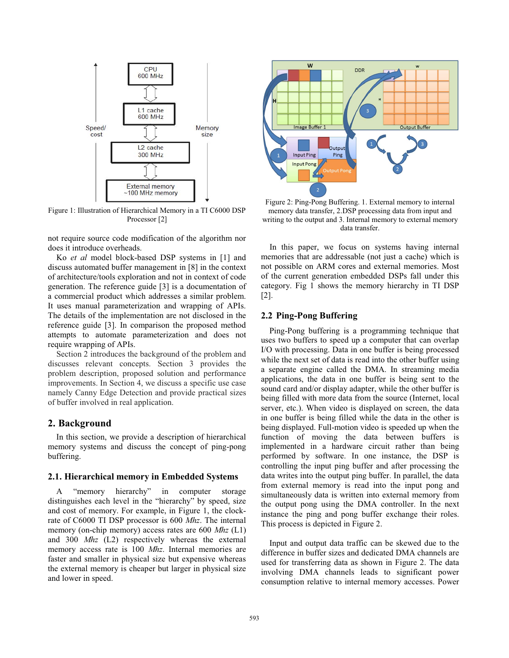

Figure 1: Illustration of Hierarchical Memory in a TI C6000 DSP Processor<sup>[2]</sup>

not require source code modification of the algorithm nor does it introduce overheads.

Ko *et al* model block-based DSP systems in [1] and discuss automated buffer management in [8] in the context of architecture/tools exploration and not in context of code generation. The reference guide [3] is a documentation of a commercial product which addresses a similar problem. It uses manual parameterization and wrapping of APIs. The details of the implementation are not disclosed in the reference guide [3]. In comparison the proposed method attempts to automate parameterization and does not require wrapping of APIs.

Section 2 introduces the background of the problem and discusses relevant concepts. Section 3 provides the problem description, proposed solution and performance improvements. In Section 4, we discuss a specific use case namely Canny Edge Detection and provide practical sizes of buffer involved in real application.

#### **2. Background**

In this section, we provide a description of hierarchical memory systems and discuss the concept of ping-pong buffering.

#### **2.1. Hierarchical memory in Embedded Systems**

A "memory hierarchy" in computer storage distinguishes each level in the "hierarchy" by speed, size and cost of memory. For example, in Figure 1, the clockrate of C6000 TI DSP processor is 600 *Mhz*. The internal memory (on-chip memory) access rates are 600 *Mhz* (L1) and 300 *Mhz* (L2) respectively whereas the external memory access rate is 100 *Mhz*. Internal memories are faster and smaller in physical size but expensive whereas the external memory is cheaper but larger in physical size and lower in speed.



Figure 2: Ping-Pong Buffering. 1. External memory to internal memory data transfer, 2.DSP processing data from input and writing to the output and 3. Internal memory to external memory data transfer.

In this paper, we focus on systems having internal memories that are addressable (not just a cache) which is not possible on ARM cores and external memories. Most of the current generation embedded DSPs fall under this category. Fig 1 shows the memory hierarchy in TI DSP [2].

#### **2.2 Ping-Pong Buffering**

Ping-Pong buffering is a programming technique that uses two buffers to speed up a computer that can overlap I/O with processing. Data in one buffer is being processed while the next set of data is read into the other buffer using a separate engine called the DMA. In streaming media applications, the data in one buffer is being sent to the sound card and/or display adapter, while the other buffer is being filled with more data from the source (Internet, local server, etc.). When video is displayed on screen, the data in one buffer is being filled while the data in the other is being displayed. Full-motion video is speeded up when the function of moving the data between buffers is implemented in a hardware circuit rather than being performed by software. In one instance, the DSP is controlling the input ping buffer and after processing the data writes into the output ping buffer. In parallel, the data from external memory is read into the input pong and simultaneously data is written into external memory from the output pong using the DMA controller. In the next instance the ping and pong buffer exchange their roles. This process is depicted in Figure 2.

Input and output data traffic can be skewed due to the difference in buffer sizes and dedicated DMA channels are used for transferring data as shown in Figure 2. The data involving DMA channels leads to significant power consumption relative to internal memory accesses. Power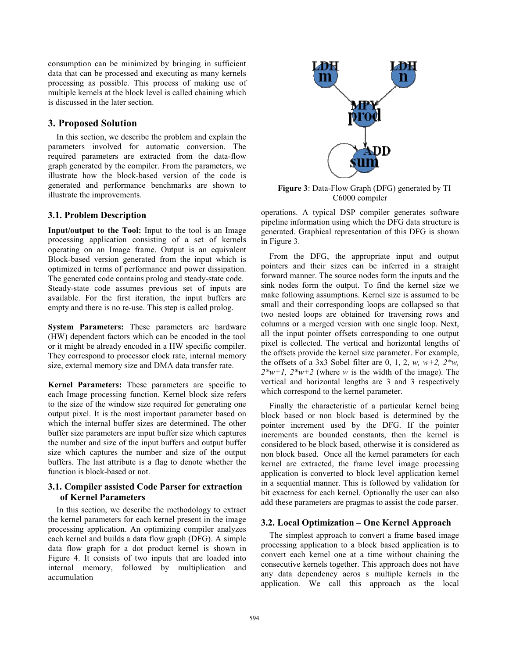consumption can be minimized by bringing in sufficient data that can be processed and executing as many kernels processing as possible. This process of making use of multiple kernels at the block level is called chaining which is discussed in the later section.

# **3. Proposed Solution**

In this section, we describe the problem and explain the parameters involved for automatic conversion. The required parameters are extracted from the data-flow graph generated by the compiler. From the parameters, we illustrate how the block-based version of the code is generated and performance benchmarks are shown to illustrate the improvements.

# **3.1. Problem Description**

**Input/output to the Tool:** Input to the tool is an Image processing application consisting of a set of kernels operating on an Image frame. Output is an equivalent Block-based version generated from the input which is optimized in terms of performance and power dissipation. The generated code contains prolog and steady-state code. Steady-state code assumes previous set of inputs are available. For the first iteration, the input buffers are empty and there is no re-use. This step is called prolog.

**System Parameters:** These parameters are hardware (HW) dependent factors which can be encoded in the tool or it might be already encoded in a HW specific compiler. They correspond to processor clock rate, internal memory size, external memory size and DMA data transfer rate.

**Kernel Parameters:** These parameters are specific to each Image processing function. Kernel block size refers to the size of the window size required for generating one output pixel. It is the most important parameter based on which the internal buffer sizes are determined. The other buffer size parameters are input buffer size which captures the number and size of the input buffers and output buffer size which captures the number and size of the output buffers. The last attribute is a flag to denote whether the function is block-based or not.

# **3.1. Compiler assisted Code Parser for extraction of Kernel Parameters**

In this section, we describe the methodology to extract the kernel parameters for each kernel present in the image processing application. An optimizing compiler analyzes each kernel and builds a data flow graph (DFG). A simple data flow graph for a dot product kernel is shown in Figure 4. It consists of two inputs that are loaded into internal memory, followed by multiplication and accumulation



**Figure 3**: Data-Flow Graph (DFG) generated by TI C6000 compiler

operations. A typical DSP compiler generates software pipeline information using which the DFG data structure is generated. Graphical representation of this DFG is shown in Figure 3.

From the DFG, the appropriate input and output pointers and their sizes can be inferred in a straight forward manner. The source nodes form the inputs and the sink nodes form the output. To find the kernel size we make following assumptions. Kernel size is assumed to be small and their corresponding loops are collapsed so that two nested loops are obtained for traversing rows and columns or a merged version with one single loop. Next, all the input pointer offsets corresponding to one output pixel is collected. The vertical and horizontal lengths of the offsets provide the kernel size parameter. For example, the offsets of a 3x3 Sobel filter are 0, 1, 2, *w, w+2, 2<sup>\*</sup>w*.  $2*_{w+1}$ ,  $2*_{w+2}$  (where *w* is the width of the image). The vertical and horizontal lengths are 3 and 3 respectively which correspond to the kernel parameter.

Finally the characteristic of a particular kernel being block based or non block based is determined by the pointer increment used by the DFG. If the pointer increments are bounded constants, then the kernel is considered to be block based, otherwise it is considered as non block based. Once all the kernel parameters for each kernel are extracted, the frame level image processing application is converted to block level application kernel in a sequential manner. This is followed by validation for bit exactness for each kernel. Optionally the user can also add these parameters are pragmas to assist the code parser.

## **3.2. Local Optimization – One Kernel Approach**

The simplest approach to convert a frame based image processing application to a block based application is to convert each kernel one at a time without chaining the consecutive kernels together. This approach does not have any data dependency acros s multiple kernels in the application. We call this approach as the local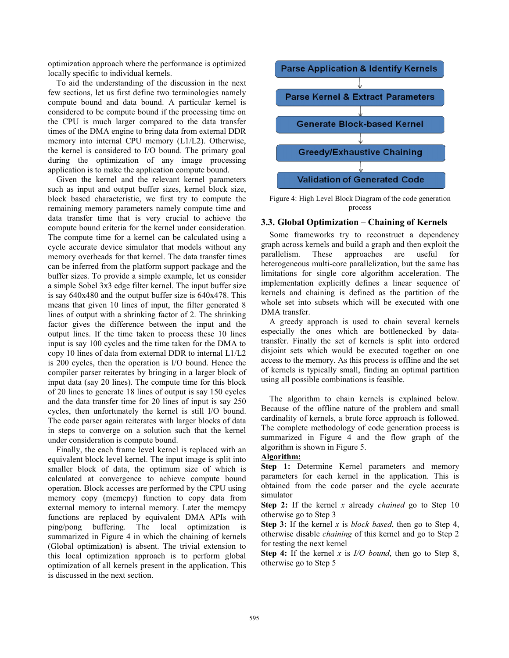optimization approach where the performance is optimized locally specific to individual kernels.

To aid the understanding of the discussion in the next few sections, let us first define two terminologies namely compute bound and data bound. A particular kernel is considered to be compute bound if the processing time on the CPU is much larger compared to the data transfer times of the DMA engine to bring data from external DDR memory into internal CPU memory (L1/L2). Otherwise, the kernel is considered to I/O bound. The primary goal during the optimization of any image processing application is to make the application compute bound.

Given the kernel and the relevant kernel parameters such as input and output buffer sizes, kernel block size, block based characteristic, we first try to compute the remaining memory parameters namely compute time and data transfer time that is very crucial to achieve the compute bound criteria for the kernel under consideration. The compute time for a kernel can be calculated using a cycle accurate device simulator that models without any memory overheads for that kernel. The data transfer times can be inferred from the platform support package and the buffer sizes. To provide a simple example, let us consider a simple Sobel 3x3 edge filter kernel. The input buffer size is say 640x480 and the output buffer size is 640x478. This means that given 10 lines of input, the filter generated 8 lines of output with a shrinking factor of 2. The shrinking factor gives the difference between the input and the output lines. If the time taken to process these 10 lines input is say 100 cycles and the time taken for the DMA to copy 10 lines of data from external DDR to internal L1/L2 is 200 cycles, then the operation is I/O bound. Hence the compiler parser reiterates by bringing in a larger block of input data (say 20 lines). The compute time for this block of 20 lines to generate 18 lines of output is say 150 cycles and the data transfer time for 20 lines of input is say 250 cycles, then unfortunately the kernel is still I/O bound. The code parser again reiterates with larger blocks of data in steps to converge on a solution such that the kernel under consideration is compute bound.

 Finally, the each frame level kernel is replaced with an equivalent block level kernel. The input image is split into smaller block of data, the optimum size of which is calculated at convergence to achieve compute bound operation. Block accesses are performed by the CPU using memory copy (memcpy) function to copy data from external memory to internal memory. Later the memcpy functions are replaced by equivalent DMA APIs with ping/pong buffering. The local optimization is summarized in Figure 4 in which the chaining of kernels (Global optimization) is absent. The trivial extension to this local optimization approach is to perform global optimization of all kernels present in the application. This is discussed in the next section.



Figure 4: High Level Block Diagram of the code generation process

#### **3.3. Global Optimization – Chaining of Kernels**

Some frameworks try to reconstruct a dependency graph across kernels and build a graph and then exploit the parallelism. These approaches are useful for heterogeneous multi-core parallelization, but the same has limitations for single core algorithm acceleration. The implementation explicitly defines a linear sequence of kernels and chaining is defined as the partition of the whole set into subsets which will be executed with one DMA transfer.

A greedy approach is used to chain several kernels especially the ones which are bottlenecked by datatransfer. Finally the set of kernels is split into ordered disjoint sets which would be executed together on one access to the memory. As this process is offline and the set of kernels is typically small, finding an optimal partition using all possible combinations is feasible.

The algorithm to chain kernels is explained below. Because of the offline nature of the problem and small cardinality of kernels, a brute force approach is followed. The complete methodology of code generation process is summarized in Figure 4 and the flow graph of the algorithm is shown in Figure 5.

# **Algorithm:**

**Step 1:** Determine Kernel parameters and memory parameters for each kernel in the application. This is obtained from the code parser and the cycle accurate simulator

**Step 2:** If the kernel *x* already *chained* go to Step 10 otherwise go to Step 3

**Step 3:** If the kernel *x* is *block based*, then go to Step 4, otherwise disable *chaining* of this kernel and go to Step 2 for testing the next kernel

**Step 4:** If the kernel *x* is *I/O bound*, then go to Step 8, otherwise go to Step 5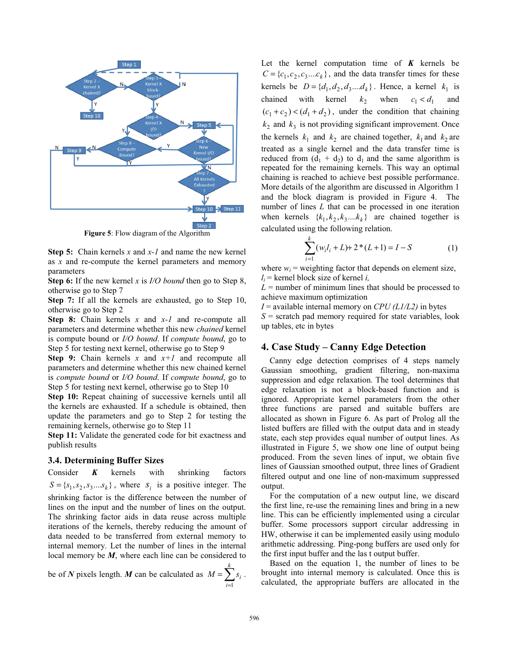

**Figure 5**: Flow diagram of the Algorithm

**Step 5:** Chain kernels *x* and *x-1* and name the new kernel as *x* and re-compute the kernel parameters and memory parameters

**Step 6:** If the new kernel *x* is *I/O bound* then go to Step 8, otherwise go to Step 7

**Step 7:** If all the kernels are exhausted, go to Step 10, otherwise go to Step 2

**Step 8:** Chain kernels *x* and *x-1* and re-compute all parameters and determine whether this new *chained* kernel is compute bound or *I/O bound*. If *compute bound*, go to Step 5 for testing next kernel, otherwise go to Step 9

**Step 9:** Chain kernels *x* and *x+1* and recompute all parameters and determine whether this new chained kernel is *compute bound* or *I/O bound*. If *compute bound*, go to Step 5 for testing next kernel, otherwise go to Step 10

**Step 10:** Repeat chaining of successive kernels until all the kernels are exhausted. If a schedule is obtained, then update the parameters and go to Step 2 for testing the remaining kernels, otherwise go to Step 11

**Step 11:** Validate the generated code for bit exactness and publish results

### **3.4. Determining Buffer Sizes**

Consider *K* kernels with shrinking factors  $S = \{s_1, s_2, s_3, \dots s_k\}$ , where  $s_i$  is a positive integer. The shrinking factor is the difference between the number of lines on the input and the number of lines on the output. The shrinking factor aids in data reuse across multiple iterations of the kernels, thereby reducing the amount of data needed to be transferred from external memory to internal memory. Let the number of lines in the internal local memory be *M*, where each line can be considered to

be of *N* pixels length. *M* can be calculated as  $M = \sum_{k=1}^{k}$ = = *k i*  $M = \sum s_i$ 1 .

Let the kernel computation time of  $K$  kernels be  $C = \{c_1, c_2, c_3, \ldots, c_k\}$ , and the data transfer times for these kernels be  $D = \{d_1, d_2, d_3, \ldots, d_k\}$ . Hence, a kernel  $k_1$  is chained with kernel  $k_2$  when  $c_1 < d_1$  and  $(c_1+c_2) < (d_1+d_2)$ , under the condition that chaining  $k_2$  and  $k_3$  is not providing significant improvement. Once the kernels  $k_1$  and  $k_2$  are chained together,  $k_1$  and  $k_2$  are treated as a single kernel and the data transfer time is reduced from  $(d_1 + d_2)$  to  $d_1$  and the same algorithm is repeated for the remaining kernels. This way an optimal chaining is reached to achieve best possible performance. More details of the algorithm are discussed in Algorithm 1 and the block diagram is provided in Figure 4. The number of lines *L* that can be processed in one iteration when kernels  $\{k_1, k_2, k_3, \ldots, k_k\}$  are chained together is calculated using the following relation.

$$
\sum_{i=1}^{k} (w_i l_i + L) + 2 * (L + 1) = I - S \tag{1}
$$

where  $w_i$  = weighting factor that depends on element size,  $l_i$  = kernel block size of kernel *i*,

 $L =$  number of minimum lines that should be processed to achieve maximum optimization

 $I =$  available internal memory on *CPU* ( $L1/L2$ ) in bytes  $S =$  scratch pad memory required for state variables, look

up tables, etc in bytes

### **4. Case Study – Canny Edge Detection**

Canny edge detection comprises of 4 steps namely Gaussian smoothing, gradient filtering, non-maxima suppression and edge relaxation. The tool determines that edge relaxation is not a block-based function and is ignored. Appropriate kernel parameters from the other three functions are parsed and suitable buffers are allocated as shown in Figure 6. As part of Prolog all the listed buffers are filled with the output data and in steady state, each step provides equal number of output lines. As illustrated in Figure 5, we show one line of output being produced. From the seven lines of input, we obtain five lines of Gaussian smoothed output, three lines of Gradient filtered output and one line of non-maximum suppressed output.

For the computation of a new output line, we discard the first line, re-use the remaining lines and bring in a new line. This can be efficiently implemented using a circular buffer. Some processors support circular addressing in HW, otherwise it can be implemented easily using modulo arithmetic addressing. Ping-pong buffers are used only for the first input buffer and the las t output buffer.

Based on the equation 1, the number of lines to be brought into internal memory is calculated. Once this is calculated, the appropriate buffers are allocated in the